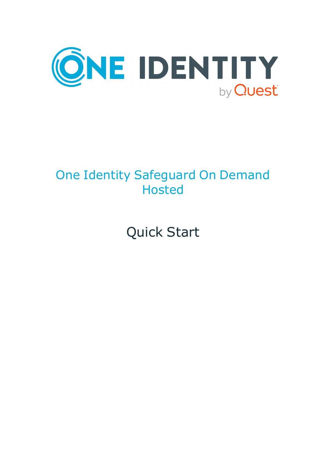

### One Identity Safeguard On Demand Hosted

# Quick Start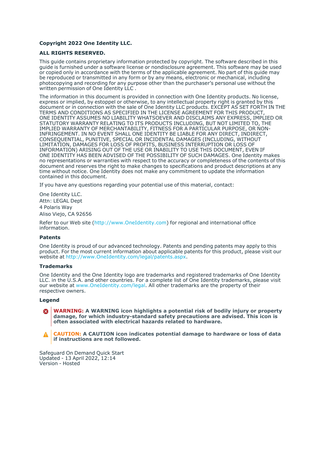#### **Copyright 2022 One Identity LLC.**

#### **ALL RIGHTS RESERVED.**

This guide contains proprietary information protected by copyright. The software described in this guide is furnished under a software license or nondisclosure agreement. This software may be used or copied only in accordance with the terms of the applicable agreement. No part of this guide may be reproduced or transmitted in any form or by any means, electronic or mechanical, including photocopying and recording for any purpose other than the purchaser's personal use without the written permission of One Identity LLC .

The information in this document is provided in connection with One Identity products. No license, express or implied, by estoppel or otherwise, to any intellectual property right is granted by this document or in connection with the sale of One Identity LLC products. EXCEPT AS SET FORTH IN THE TERMS AND CONDITIONS AS SPECIFIED IN THE LICENSE AGREEMENT FOR THIS PRODUCT, ONE IDENTITY ASSUMES NO LIABILITY WHATSOEVER AND DISCLAIMS ANY EXPRESS, IMPLIED OR STATUTORY WARRANTY RELATING TO ITS PRODUCTS INCLUDING, BUT NOT LIMITED TO, THE IMPLIED WARRANTY OF MERCHANTABILITY, FITNESS FOR A PARTICULAR PURPOSE, OR NON-INFRINGEMENT. IN NO EVENT SHALL ONE IDENTITY BE LIABLE FOR ANY DIRECT, INDIRECT, CONSEQUENTIAL, PUNITIVE, SPECIAL OR INCIDENTAL DAMAGES (INCLUDING, WITHOUT LIMITATION, DAMAGES FOR LOSS OF PROFITS, BUSINESS INTERRUPTION OR LOSS OF INFORMATION) ARISING OUT OF THE USE OR INABILITY TO USE THIS DOCUMENT, EVEN IF ONE IDENTITY HAS BEEN ADVISED OF THE POSSIBILITY OF SUCH DAMAGES. One Identity makes no representations or warranties with respect to the accuracy or completeness of the contents of this document and reserves the right to make changes to specifications and product descriptions at any time without notice. One Identity does not make any commitment to update the information contained in this document.

If you have any questions regarding your potential use of this material, contact:

One Identity LLC. Attn: LEGAL Dept 4 Polaris Way Aliso Viejo, CA 92656

Refer to our Web site [\(http://www.OneIdentity.com](http://www.oneidentity.com/)) for regional and international office information.

#### **Patents**

One Identity is proud of our advanced technology. Patents and pending patents may apply to this product. For the most current information about applicable patents for this product, please visit our website at [http://www.OneIdentity.com/legal/patents.aspx.](http://www.oneidentity.com/legal/patents.aspx)

#### **Trademarks**

One Identity and the One Identity logo are trademarks and registered trademarks of One Identity LLC. in the U.S.A. and other countries. For a complete list of One Identity trademarks, please visit our website at [www.OneIdentity.com/legal](http://www.oneidentity.com/legal). All other trademarks are the property of their respective owners.

#### **Legend**

**WARNING: A WARNING icon highlights a potential risk of bodily injury or property** œ **damage, for which industry-standard safety precautions are advised. This icon is often associated with electrical hazards related to hardware.**

**CAUTION: A CAUTION icon indicates potential damage to hardware or loss of data if instructions are not followed.**

Safeguard On Demand Quick Start Updated - 13 April 2022, 12:14 Version - Hosted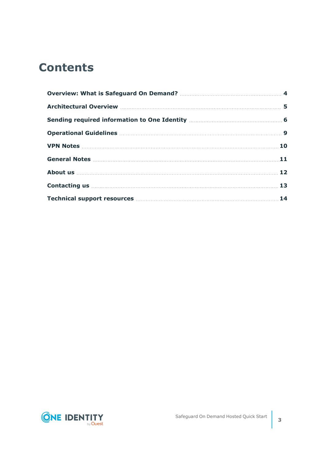### **Contents**

| Operational Guidelines <b>Manual According to the Contract Operational Guidelines</b> Manual Contract Durate Durate D                                                                                                                |  |
|--------------------------------------------------------------------------------------------------------------------------------------------------------------------------------------------------------------------------------------|--|
|                                                                                                                                                                                                                                      |  |
|                                                                                                                                                                                                                                      |  |
| About us <b>have a set of the contract of the set of the set of the set of the set of the set of the set of the set of the set of the set of the set of the set of the set of the set of the set of the set of the set of the se</b> |  |
|                                                                                                                                                                                                                                      |  |
|                                                                                                                                                                                                                                      |  |

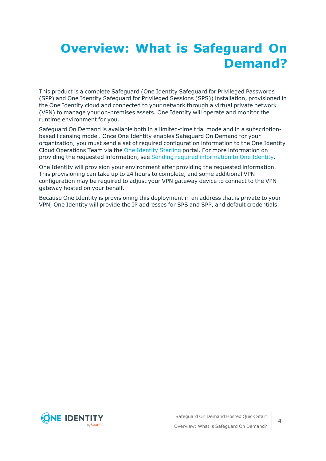### <span id="page-3-0"></span>**Overview: What is Safeguard On Demand?**

This product is a complete Safeguard (One Identity Safeguard for Privileged Passwords (SPP) and One Identity Safeguard for Privileged Sessions (SPS)) installation, provisioned in the One Identity cloud and connected to your network through a virtual private network (VPN) to manage your on-premises assets. One Identity will operate and monitor the runtime environment for you.

Safeguard On Demand is available both in a limited-time trial mode and in a subscriptionbased licensing model. Once One Identity enables Safeguard On Demand for your organization, you must send a set of required configuration information to the One Identity Cloud Operations Team via the One [Identity](https://www.cloud.oneidentity.com/) Starling portal. For more information on providing the requested information, see Sending required [information](#page-5-0) to One Identity.

One Identity will provision your environment after providing the requested information. This provisioning can take up to 24 hours to complete, and some additional VPN configuration may be required to adjust your VPN gateway device to connect to the VPN gateway hosted on your behalf.

Because One Identity is provisioning this deployment in an address that is private to your VPN, One Identity will provide the IP addresses for SPS and SPP, and default credentials.

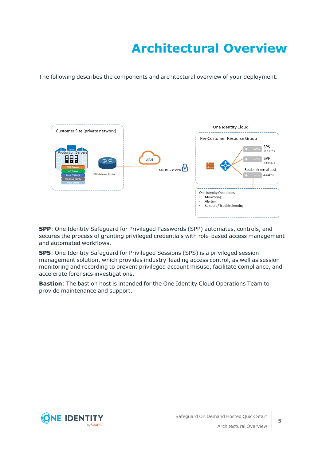## **Architectural Overview**

<span id="page-4-0"></span>The following describes the components and architectural overview of your deployment.



**SPP**: One Identity Safeguard for Privileged Passwords (SPP) automates, controls, and secures the process of granting privileged credentials with role-based access management and automated workflows.

**SPS**: One Identity Safeguard for Privileged Sessions (SPS) is a privileged session management solution, which provides industry-leading access control, as well as session monitoring and recording to prevent privileged account misuse, facilitate compliance, and accelerate forensics investigations.

**Bastion**: The bastion host is intended for the One Identity Cloud Operations Team to provide maintenance and support.

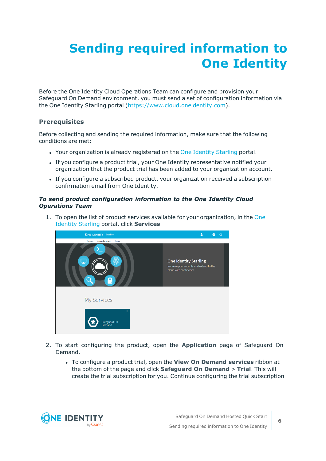## <span id="page-5-0"></span>**Sending required information to One Identity**

Before the One Identity Cloud Operations Team can configure and provision your Safeguard On Demand environment, you must send a set of configuration information via the One Identity Starling portal ([https://www.cloud.oneidentity.com\)](https://www.cloud.oneidentity.com/).

### **Prerequisites**

Before collecting and sending the required information, make sure that the following conditions are met:

- Your organization is already registered on the One [Identity](https://www.cloud.oneidentity.com/) Starling portal.
- If you configure a product trial, your One Identity representative notified your organization that the product trial has been added to your organization account.
- If you configure a subscribed product, your organization received a subscription confirmation email from One Identity.

#### *To send product configuration information to the One Identity Cloud Operations Team*

1. To open the list of product services available for your organization, in the [One](https://www.cloud.oneidentity.com/) [Identity](https://www.cloud.oneidentity.com/) Starling portal, click **Services**.



- 2. To start configuring the product, open the **Application** page of Safeguard On Demand.
	- <sup>l</sup> To configure a product trial, open the **View On Demand services** ribbon at the bottom of the page and click **Safeguard On Demand** > **Trial**. This will create the trial subscription for you. Continue configuring the trial subscription

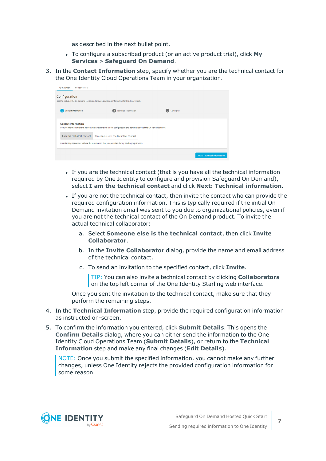as described in the next bullet point.

- To configure a subscribed product (or an active product trial), click My **Services** > **Safeguard On Demand**.
- 3. In the **Contact Information** step, specify whether you are the technical contact for the One Identity Cloud Operations Team in your organization.

| Application                                                                                      | Collaborators              |                                                                                                                          |            |                                    |  |
|--------------------------------------------------------------------------------------------------|----------------------------|--------------------------------------------------------------------------------------------------------------------------|------------|------------------------------------|--|
| Configuration                                                                                    |                            |                                                                                                                          |            |                                    |  |
| See the status of the On Demand service and provide additional information for the deployment.   |                            |                                                                                                                          |            |                                    |  |
|                                                                                                  | <b>Contact Information</b> | <b>Technical Information</b><br>$\overline{2}$                                                                           | Setting Up |                                    |  |
| <b>Contact Information</b>                                                                       |                            | Contact information for the person who is responsible for the configuration and administration of the On Demand service. |            |                                    |  |
|                                                                                                  | I am the technical contact | Someone else is the technical contact                                                                                    |            |                                    |  |
| One Identity Operations will use the information that you provided during Starling registration. |                            |                                                                                                                          |            |                                    |  |
|                                                                                                  |                            |                                                                                                                          |            | <b>Next: Technical Information</b> |  |

- If you are the technical contact (that is you have all the technical information required by One Identity to configure and provision Safeguard On Demand), select **I am the technical contact** and click **Next: Technical information**.
- <sup>l</sup> If you are not the technical contact, then invite the contact who can provide the required configuration information. This is typically required if the initial On Demand invitation email was sent to you due to organizational policies, even if you are not the technical contact of the On Demand product. To invite the actual technical collaborator:
	- a. Select **Someone else is the technical contact**, then click **Invite Collaborator**.
	- b. In the **Invite Collaborator** dialog, provide the name and email address of the technical contact.
	- c. To send an invitation to the specified contact, click **Invite**.

TIP: You can also invite a technical contact by clicking **Collaborators** on the top left corner of the One Identity Starling web interface.

Once you sent the invitation to the technical contact, make sure that they perform the remaining steps.

- 4. In the **Technical Information** step, provide the required configuration information as instructed on-screen.
- 5. To confirm the information you entered, click **Submit Details**. This opens the **Confirm Details** dialog, where you can either send the information to the One Identity Cloud Operations Team (**Submit Details**), or return to the **Technical Information** step and make any final changes (**Edit Details**).

NOTE: Once you submit the specified information, you cannot make any further changes, unless One Identity rejects the provided configuration information for some reason.

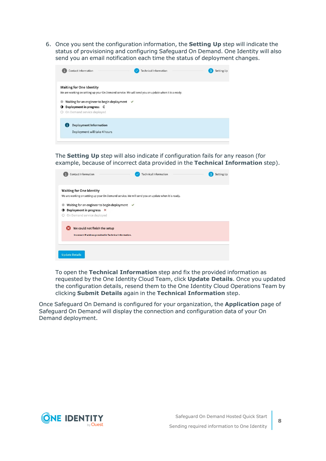6. Once you sent the configuration information, the **Setting Up** step will indicate the status of provisioning and configuring Safeguard On Demand. One Identity will also send you an email notification each time the status of deployment changes.

| <b>Contact Information</b>                                                                                                                                      | <b>Technical Information</b>                                                                        | <b>Setting Up</b> |
|-----------------------------------------------------------------------------------------------------------------------------------------------------------------|-----------------------------------------------------------------------------------------------------|-------------------|
| <b>Waiting for One Identity</b><br>Waiting for an engineer to begin deployment $\checkmark$<br>Deployment in progress C<br>o<br>On Demand service deployed<br>O | We are working on setting up your On Demand service. We will send you an update when it is a ready. |                   |
| <b>Deployment Information</b><br>Deployment will take 4 hours                                                                                                   |                                                                                                     |                   |

The **Setting Up** step will also indicate if configuration fails for any reason (for example, because of incorrect data provided in the **Technical Information** step).

| <b>Contact Information</b>                                                                                                   | <b>Technical Information</b>                                                                      | <b>Setting Up</b> |
|------------------------------------------------------------------------------------------------------------------------------|---------------------------------------------------------------------------------------------------|-------------------|
| <b>Waiting for One Identity</b>                                                                                              | We are working on setting up your On Demand service. We will send you an update when it is ready. |                   |
| Waiting for an engineer to begin deployment $\checkmark$<br>Deployment in progress X<br>O<br>On Demand service deployed<br>O |                                                                                                   |                   |
| We could not finish the setup<br>Incorrect IP address provided in Technical Information.                                     |                                                                                                   |                   |
| <b>Update Details</b>                                                                                                        |                                                                                                   |                   |

To open the **Technical Information** step and fix the provided information as requested by the One Identity Cloud Team, click **Update Details**. Once you updated the configuration details, resend them to the One Identity Cloud Operations Team by clicking **Submit Details** again in the **Technical Information** step.

Once Safeguard On Demand is configured for your organization, the **Application** page of Safeguard On Demand will display the connection and configuration data of your On Demand deployment.

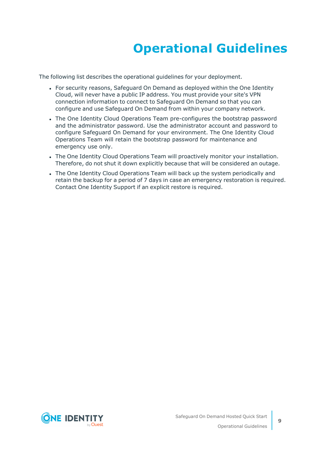### **Operational Guidelines**

<span id="page-8-0"></span>The following list describes the operational guidelines for your deployment.

- For security reasons, Safeguard On Demand as deployed within the One Identity Cloud, will never have a public IP address. You must provide your site's VPN connection information to connect to Safeguard On Demand so that you can configure and use Safeguard On Demand from within your company network.
- The One Identity Cloud Operations Team pre-configures the bootstrap password and the administrator password. Use the administrator account and password to configure Safeguard On Demand for your environment. The One Identity Cloud Operations Team will retain the bootstrap password for maintenance and emergency use only.
- The One Identity Cloud Operations Team will proactively monitor your installation. Therefore, do not shut it down explicitly because that will be considered an outage.
- The One Identity Cloud Operations Team will back up the system periodically and retain the backup for a period of 7 days in case an emergency restoration is required. Contact One Identity Support if an explicit restore is required.

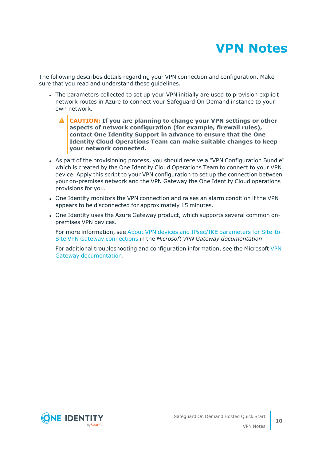

<span id="page-9-0"></span>The following describes details regarding your VPN connection and configuration. Make sure that you read and understand these guidelines.

- The parameters collected to set up your VPN initially are used to provision explicit network routes in Azure to connect your Safeguard On Demand instance to your own network.
	- **CAUTION: If you are planning to change your VPN settings or other aspects of network configuration (for example, firewall rules), contact One Identity Support in advance to ensure that the One Identity Cloud Operations Team can make suitable changes to keep your network connected.**
- As part of the provisioning process, you should receive a "VPN Configuration Bundle" which is created by the One Identity Cloud Operations Team to connect to your VPN device. Apply this script to your VPN configuration to set up the connection between your on-premises network and the VPN Gateway the One Identity Cloud operations provisions for you.
- <sup>l</sup> One Identity monitors the VPN connection and raises an alarm condition if the VPN appears to be disconnected for approximately 15 minutes.
- One Identity uses the Azure Gateway product, which supports several common onpremises VPN devices.

For more information, see About VPN devices and IPsec/IKE [parameters](https://docs.microsoft.com/en-us/azure/vpn-gateway/vpn-gateway-about-vpn-devices) for Site-to-Site VPN Gateway [connections](https://docs.microsoft.com/en-us/azure/vpn-gateway/vpn-gateway-about-vpn-devices) in the *Microsoft VPN Gateway documentation*.

For additional troubleshooting and configuration information, see the Microsoft [VPN](https://docs.microsoft.com/en-us/azure/vpn-gateway/) Gateway [documentation.](https://docs.microsoft.com/en-us/azure/vpn-gateway/)

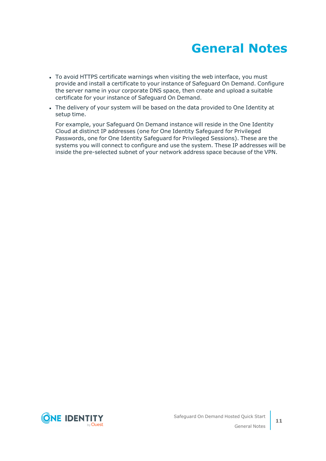

- <span id="page-10-0"></span>• To avoid HTTPS certificate warnings when visiting the web interface, you must provide and install a certificate to your instance of Safeguard On Demand. Configure the server name in your corporate DNS space, then create and upload a suitable certificate for your instance of Safeguard On Demand.
- The delivery of your system will be based on the data provided to One Identity at setup time.

For example, your Safeguard On Demand instance will reside in the One Identity Cloud at distinct IP addresses (one for One Identity Safeguard for Privileged Passwords, one for One Identity Safeguard for Privileged Sessions). These are the systems you will connect to configure and use the system. These IP addresses will be inside the pre-selected subnet of your network address space because of the VPN.

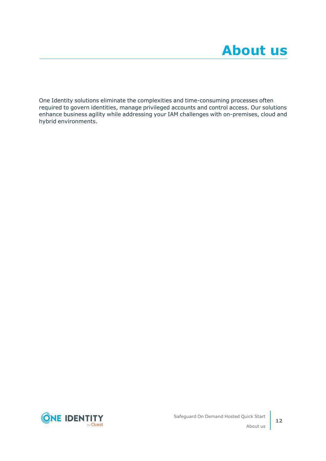<span id="page-11-0"></span>One Identity solutions eliminate the complexities and time-consuming processes often required to govern identities, manage privileged accounts and control access. Our solutions enhance business agility while addressing your IAM challenges with on-premises, cloud and hybrid environments.

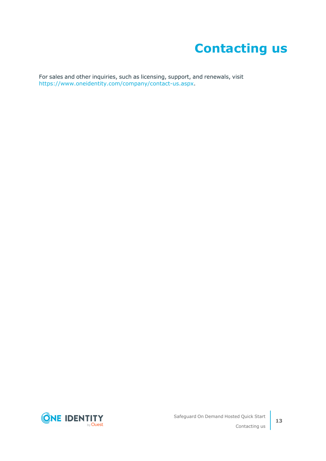### **Contacting us**

<span id="page-12-0"></span>For sales and other inquiries, such as licensing, support, and renewals, visit [https://www.oneidentity.com/company/contact-us.aspx.](https://www.oneidentity.com/company/contact-us.aspx)

**ONE IDENTITY** by **Quest**